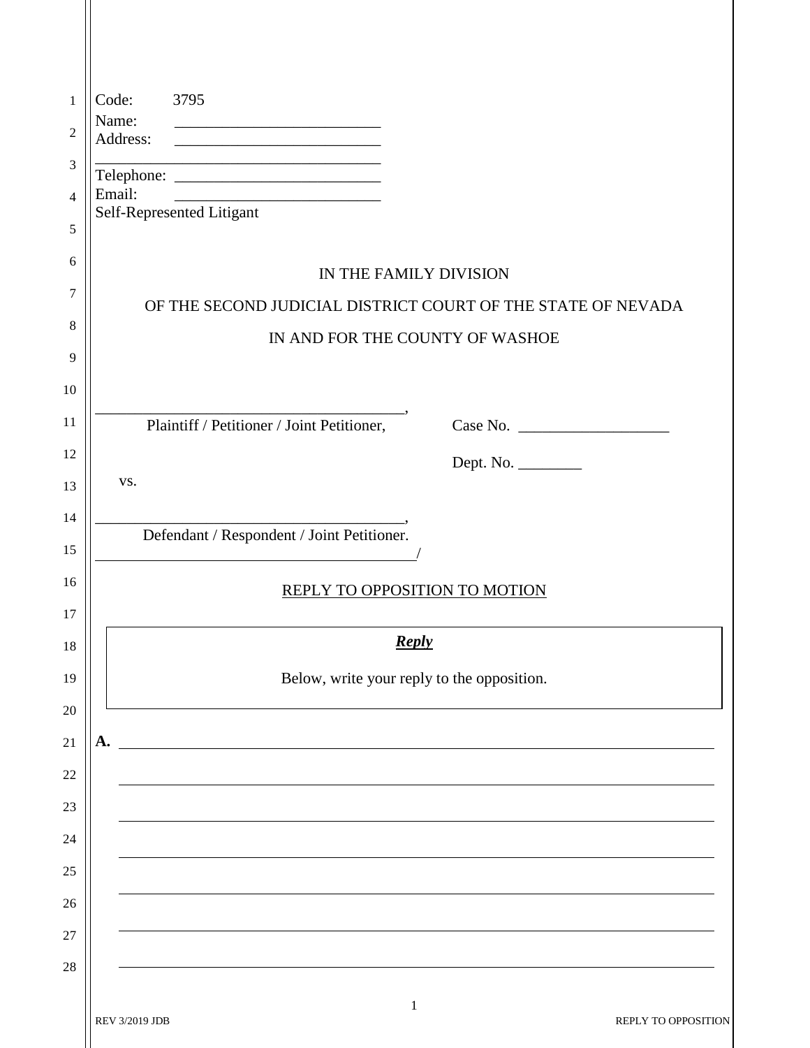| 3795<br>Code:<br>$\mathbf{1}$<br>Name:                                                                                                                         |
|----------------------------------------------------------------------------------------------------------------------------------------------------------------|
| $\overline{c}$<br>Address:                                                                                                                                     |
| 3<br>Email:                                                                                                                                                    |
| <u> 2000 - Andrea Albert III, am bhaile an t-Iomraidh ann an t-Iomraidh ann an t-Iomraidh ann an t-Iomraidh ann an </u><br>4<br>Self-Represented Litigant<br>5 |
| 6                                                                                                                                                              |
| IN THE FAMILY DIVISION<br>7                                                                                                                                    |
| OF THE SECOND JUDICIAL DISTRICT COURT OF THE STATE OF NEVADA<br>8                                                                                              |
| IN AND FOR THE COUNTY OF WASHOE<br>9                                                                                                                           |
| 10                                                                                                                                                             |
| 11<br>Plaintiff / Petitioner / Joint Petitioner, Case No. ____________________________                                                                         |
| 12                                                                                                                                                             |
| VS.<br>13                                                                                                                                                      |
| 14<br>Defendant / Respondent / Joint Petitioner.                                                                                                               |
| 15<br>16                                                                                                                                                       |
| REPLY TO OPPOSITION TO MOTION<br>17                                                                                                                            |
| <b>Reply</b><br>18                                                                                                                                             |
| Below, write your reply to the opposition.<br>19                                                                                                               |
| 20                                                                                                                                                             |
| А.                                                                                                                                                             |
| 22                                                                                                                                                             |
| 23                                                                                                                                                             |
| 24                                                                                                                                                             |
| 25                                                                                                                                                             |
| 26                                                                                                                                                             |
| 28                                                                                                                                                             |
| 1                                                                                                                                                              |